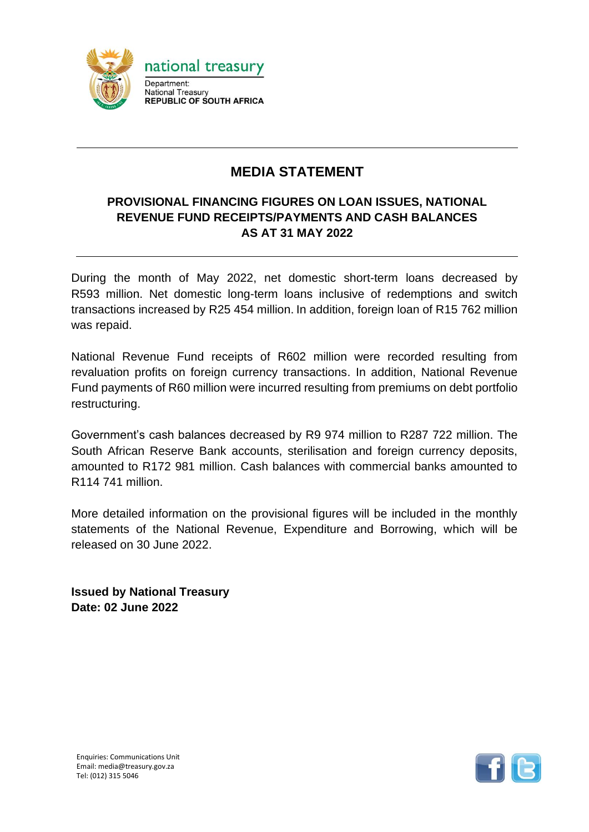

## **MEDIA STATEMENT**

## **PROVISIONAL FINANCING FIGURES ON LOAN ISSUES, NATIONAL REVENUE FUND RECEIPTS/PAYMENTS AND CASH BALANCES AS AT 31 MAY 2022**

During the month of May 2022, net domestic short-term loans decreased by R593 million. Net domestic long-term loans inclusive of redemptions and switch transactions increased by R25 454 million. In addition, foreign loan of R15 762 million was repaid.

National Revenue Fund receipts of R602 million were recorded resulting from revaluation profits on foreign currency transactions. In addition, National Revenue Fund payments of R60 million were incurred resulting from premiums on debt portfolio restructuring.

Government's cash balances decreased by R9 974 million to R287 722 million. The South African Reserve Bank accounts, sterilisation and foreign currency deposits, amounted to R172 981 million. Cash balances with commercial banks amounted to R114 741 million.

More detailed information on the provisional figures will be included in the monthly statements of the National Revenue, Expenditure and Borrowing, which will be released on 30 June 2022.

**Issued by National Treasury Date: 02 June 2022**